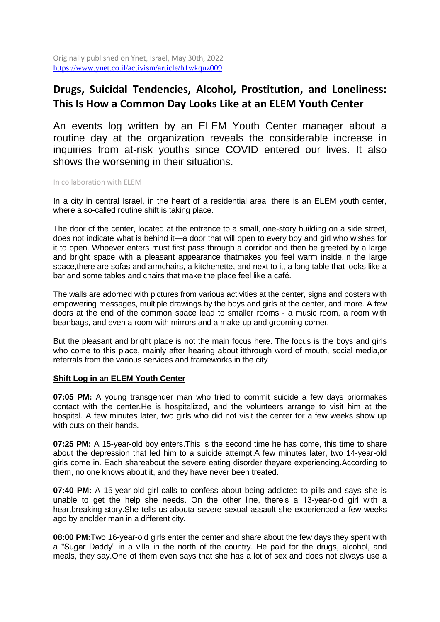Originally published on Ynet, Israel, May 30th, 2022 <https://www.ynet.co.il/activism/article/h1wkquz009>

# **Drugs, Suicidal Tendencies, Alcohol, Prostitution, and Loneliness: This Is How a Common Day Looks Like at an ELEM Youth Center**

An events log written by an ELEM Youth Center manager about a routine day at the organization reveals the considerable increase in inquiries from at-risk youths since COVID entered our lives. It also shows the worsening in their situations.

In collaboration with ELEM

In a city in central Israel, in the heart of a residential area, there is an ELEM youth center, where a so-called routine shift is taking place.

The door of the center, located at the entrance to a small, one-story building on a side street, does not indicate what is behind it—a door that will open to every boy and girl who wishes for it to open. Whoever enters must first pass through a corridor and then be greeted by a large and bright space with a pleasant appearance thatmakes you feel warm inside.In the large space,there are sofas and armchairs, a kitchenette, and next to it, a long table that looks like a bar and some tables and chairs that make the place feel like a café.

The walls are adorned with pictures from various activities at the center, signs and posters with empowering messages, multiple drawings by the boys and girls at the center, and more. A few doors at the end of the common space lead to smaller rooms - a music room, a room with beanbags, and even a room with mirrors and a make-up and grooming corner.

But the pleasant and bright place is not the main focus here. The focus is the boys and girls who come to this place, mainly after hearing about itthrough word of mouth, social media,or referrals from the various services and frameworks in the city.

### **Shift Log in an ELEM Youth Center**

**07:05 PM:** A young transgender man who tried to commit suicide a few days priormakes contact with the center.He is hospitalized, and the volunteers arrange to visit him at the hospital. A few minutes later, two girls who did not visit the center for a few weeks show up with cuts on their hands.

**07:25 PM:** A 15-year-old boy enters.This is the second time he has come, this time to share about the depression that led him to a suicide attempt.A few minutes later, two 14-year-old girls come in. Each shareabout the severe eating disorder theyare experiencing.According to them, no one knows about it, and they have never been treated.

**07:40 PM:** A 15-year-old girl calls to confess about being addicted to pills and says she is unable to get the help she needs. On the other line, there's a 13-year-old girl with a heartbreaking story.She tells us abouta severe sexual assault she experienced a few weeks ago by anolder man in a different city.

**08:00 PM:**Two 16-year-old girls enter the center and share about the few days they spent with a "Sugar Daddy" in a villa in the north of the country. He paid for the drugs, alcohol, and meals, they say.One of them even says that she has a lot of sex and does not always use a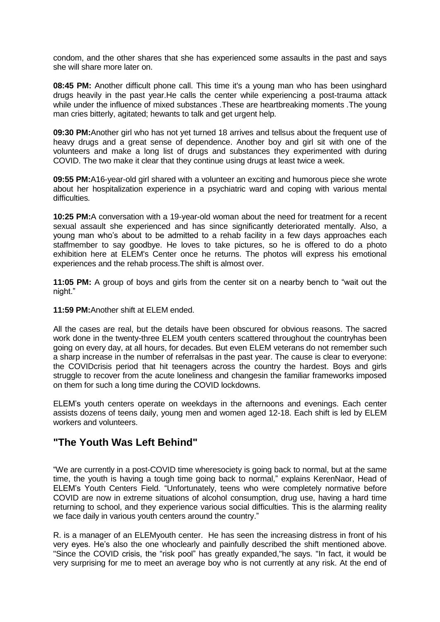condom, and the other shares that she has experienced some assaults in the past and says she will share more later on.

**08:45 PM:** Another difficult phone call. This time it's a young man who has been usinghard drugs heavily in the past year.He calls the center while experiencing a post-trauma attack while under the influence of mixed substances .These are heartbreaking moments .The young man cries bitterly, agitated; hewants to talk and get urgent help.

**09:30 PM:**Another girl who has not yet turned 18 arrives and tellsus about the frequent use of heavy drugs and a great sense of dependence. Another boy and girl sit with one of the volunteers and make a long list of drugs and substances they experimented with during COVID. The two make it clear that they continue using drugs at least twice a week.

**09:55 PM:**A16-year-old girl shared with a volunteer an exciting and humorous piece she wrote about her hospitalization experience in a psychiatric ward and coping with various mental difficulties.

**10:25 PM:**A conversation with a 19-year-old woman about the need for treatment for a recent sexual assault she experienced and has since significantly deteriorated mentally. Also, a young man who's about to be admitted to a rehab facility in a few days approaches each staffmember to say goodbye. He loves to take pictures, so he is offered to do a photo exhibition here at ELEM's Center once he returns. The photos will express his emotional experiences and the rehab process.The shift is almost over.

**11:05 PM:** A group of boys and girls from the center sit on a nearby bench to "wait out the night."

**11:59 PM:**Another shift at ELEM ended.

All the cases are real, but the details have been obscured for obvious reasons. The sacred work done in the twenty-three ELEM youth centers scattered throughout the countryhas been going on every day, at all hours, for decades. But even ELEM veterans do not remember such a sharp increase in the number of referralsas in the past year. The cause is clear to everyone: the COVIDcrisis period that hit teenagers across the country the hardest. Boys and girls struggle to recover from the acute loneliness and changesin the familiar frameworks imposed on them for such a long time during the COVID lockdowns.

ELEM's youth centers operate on weekdays in the afternoons and evenings. Each center assists dozens of teens daily, young men and women aged 12-18. Each shift is led by ELEM workers and volunteers.

## **"The Youth Was Left Behind"**

"We are currently in a post-COVID time wheresociety is going back to normal, but at the same time, the youth is having a tough time going back to normal," explains KerenNaor, Head of ELEM's Youth Centers Field. "Unfortunately, teens who were completely normative before COVID are now in extreme situations of alcohol consumption, drug use, having a hard time returning to school, and they experience various social difficulties. This is the alarming reality we face daily in various youth centers around the country."

R. is a manager of an ELEMyouth center. He has seen the increasing distress in front of his very eyes. He's also the one whoclearly and painfully described the shift mentioned above. "Since the COVID crisis, the "risk pool" has greatly expanded,"he says. "In fact, it would be very surprising for me to meet an average boy who is not currently at any risk. At the end of